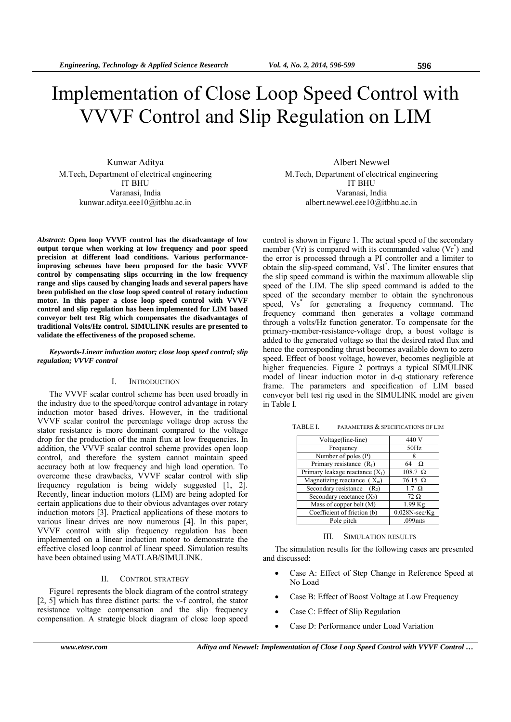# Implementation of Close Loop Speed Control with VVVF Control and Slip Regulation on LIM

Kunwar Aditya M.Tech, Department of electrical engineering IT BHU Varanasi, India kunwar.aditya.eee10@itbhu.ac.in

*Abstract***: Open loop VVVF control has the disadvantage of low output torque when working at low frequency and poor speed precision at different load conditions. Various performanceimproving schemes have been proposed for the basic VVVF control by compensating slips occurring in the low frequency range and slips caused by changing loads and several papers have been published on the close loop speed control of rotary induction motor. In this paper a close loop speed control with VVVF control and slip regulation has been implemented for LIM based conveyor belt test Rig which compensates the disadvantages of traditional Volts/Hz control. SIMULINK results are presented to validate the effectiveness of the proposed scheme.** 

## *Keywords-Linear induction motor; close loop speed control; slip regulation; VVVF control*

# I. INTRODUCTION

The VVVF scalar control scheme has been used broadly in the industry due to the speed/torque control advantage in rotary induction motor based drives. However, in the traditional VVVF scalar control the percentage voltage drop across the stator resistance is more dominant compared to the voltage drop for the production of the main flux at low frequencies. In addition, the VVVF scalar control scheme provides open loop control, and therefore the system cannot maintain speed accuracy both at low frequency and high load operation. To overcome these drawbacks, VVVF scalar control with slip frequency regulation is being widely suggested [1, 2]. Recently, linear induction motors (LIM) are being adopted for certain applications due to their obvious advantages over rotary induction motors [3]. Practical applications of these motors to various linear drives are now numerous [4]. In this paper, VVVF control with slip frequency regulation has been implemented on a linear induction motor to demonstrate the effective closed loop control of linear speed. Simulation results have been obtained using MATLAB/SIMULINK.

### II. CONTROL STRATEGY

Figure1 represents the block diagram of the control strategy [2, 5] which has three distinct parts: the v-f control, the stator resistance voltage compensation and the slip frequency compensation. A strategic block diagram of close loop speed

Albert Newwel M.Tech, Department of electrical engineering IT BHU Varanasi, India albert.newwel.eee10@itbhu.ac.in

control is shown in Figure 1. The actual speed of the secondary member (Vr) is compared with its commanded value (Vr<sup>\*</sup>) and the error is processed through a PI controller and a limiter to obtain the slip-speed command, Vsl\* . The limiter ensures that the slip speed command is within the maximum allowable slip speed of the LIM. The slip speed command is added to the speed of the secondary member to obtain the synchronous speed, Vs<sup>\*</sup> for generating a frequency command. The frequency command then generates a voltage command through a volts/Hz function generator. To compensate for the primary-member-resistance-voltage drop, a boost voltage is added to the generated voltage so that the desired rated flux and hence the corresponding thrust becomes available down to zero speed. Effect of boost voltage, however, becomes negligible at higher frequencies. Figure 2 portrays a typical SIMULINK model of linear induction motor in d-q stationary reference frame. The parameters and specification of LIM based conveyor belt test rig used in the SIMULINK model are given in Table I.

| TABLE I. | PARAMETERS & SPECIFICATIONS OF LIM |  |
|----------|------------------------------------|--|
|          |                                    |  |

| Voltage(line-line)                | 440 V                  |
|-----------------------------------|------------------------|
| Frequency                         | 50Hz                   |
| Number of poles (P)               |                        |
| Primary resistance $(R_1)$        | 64<br>Ω                |
| Primary leakage reactance $(X_1)$ | $108.7 \Omega$         |
| Magnetizing reactance $(X_m)$     | $76.15 \Omega$         |
| Secondary resistance $(R_2)$      | $1.7 \Omega$           |
| Secondary reactance $(X_2)$       | $72 \Omega$            |
| Mass of copper belt (M)           | 1.99 Kg                |
| Coefficient of friction (b)       | $0.028N\text{-}sec/Kg$ |
| Pole pitch                        | .099 <sub>ints</sub>   |

#### III. SIMULATION RESULTS

The simulation results for the following cases are presented and discussed:

- Case A: Effect of Step Change in Reference Speed at No Load
- Case B: Effect of Boost Voltage at Low Frequency
- Case C: Effect of Slip Regulation
- Case D: Performance under Load Variation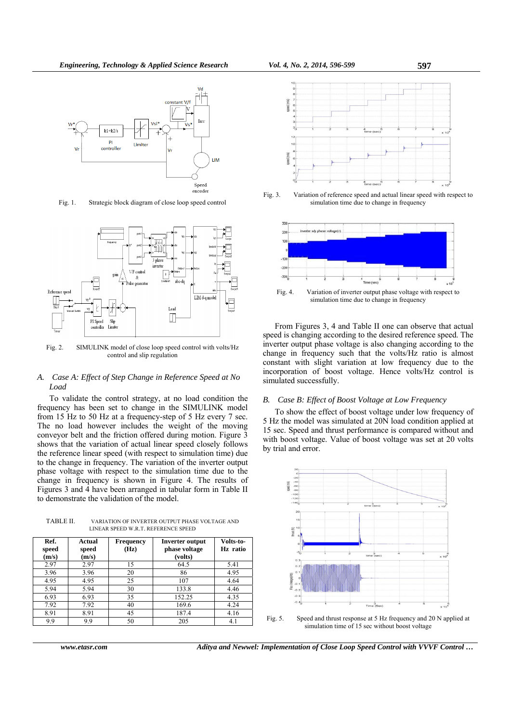

Fig. 1. Strategic block diagram of close loop speed control



Fig. 2. SIMULINK model of close loop speed control with volts/Hz control and slip regulation

## *A. Case A: Effect of Step Change in Reference Speed at No Load*

To validate the control strategy, at no load condition the frequency has been set to change in the SIMULINK model from 15 Hz to 50 Hz at a frequency-step of 5 Hz every 7 sec. The no load however includes the weight of the moving conveyor belt and the friction offered during motion. Figure 3 shows that the variation of actual linear speed closely follows the reference linear speed (with respect to simulation time) due to the change in frequency. The variation of the inverter output phase voltage with respect to the simulation time due to the change in frequency is shown in Figure 4. The results of Figures 3 and 4 have been arranged in tabular form in Table II to demonstrate the validation of the model.

TABLE II. VARIATION OF INVERTER OUTPUT PHASE VOLTAGE AND LINEAR SPEED W.R.T. REFERENCE SPEED

| Ref.<br>speed<br>(m/s) | Actual<br>speed<br>(m/s) | <b>Frequency</b><br>(Hz) | <b>Inverter output</b><br>phase voltage<br>(volts) | Volts-to-<br>Hz ratio |
|------------------------|--------------------------|--------------------------|----------------------------------------------------|-----------------------|
| 2.97                   | 2.97                     | 15                       | 64.5                                               | 5.41                  |
| 3.96                   | 3.96                     | 20                       | 86                                                 | 4.95                  |
| 4.95                   | 4.95                     | 25                       | 107                                                | 4.64                  |
| 5.94                   | 5.94                     | 30                       | 133.8                                              | 4.46                  |
| 6.93                   | 6.93                     | 35                       | 152.25                                             | 4.35                  |
| 7.92                   | 7.92                     | 40                       | 169.6                                              | 4.24                  |
| 8.91                   | 8.91                     | 45                       | 187.4                                              | 4.16                  |
| 9.9                    | 9.9                      | 50                       | 205                                                | 4.1                   |







Fig. 4. Variation of inverter output phase voltage with respect to simulation time due to change in frequency

From Figures 3, 4 and Table II one can observe that actual speed is changing according to the desired reference speed. The inverter output phase voltage is also changing according to the change in frequency such that the volts/Hz ratio is almost constant with slight variation at low frequency due to the incorporation of boost voltage. Hence volts/Hz control is simulated successfully.

## *B. Case B: Effect of Boost Voltage at Low Frequency*

To show the effect of boost voltage under low frequency of 5 Hz the model was simulated at 20N load condition applied at 15 sec. Speed and thrust performance is compared without and with boost voltage. Value of boost voltage was set at 20 volts by trial and error.





*www.etasr.com Aditya and Newwel: Implementation of Close Loop Speed Control with VVVF Control …*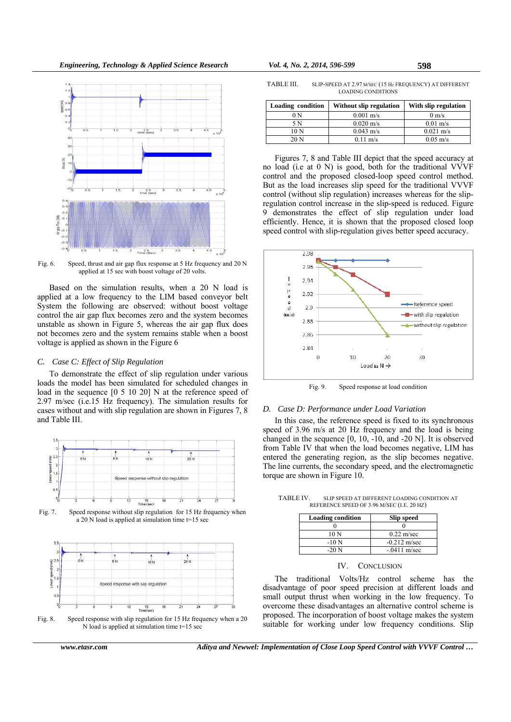

Fig. 6. Speed, thrust and air gap flux response at 5 Hz frequency and 20 N applied at 15 sec with boost voltage of 20 volts.

Based on the simulation results, when a 20 N load is applied at a low frequency to the LIM based conveyor belt System the following are observed: without boost voltage control the air gap flux becomes zero and the system becomes unstable as shown in Figure 5, whereas the air gap flux does not becomes zero and the system remains stable when a boost voltage is applied as shown in the Figure 6

# *C. Case C: Effect of Slip Regulation*

To demonstrate the effect of slip regulation under various loads the model has been simulated for scheduled changes in load in the sequence [0 5 10 20] N at the reference speed of 2.97 m/sec (i.e.15 Hz frequency). The simulation results for cases without and with slip regulation are shown in Figures 7, 8 and Table III.



Fig. 7. Speed response without slip regulation for 15 Hz frequency when a 20 N load is applied at simulation time t=15 sec



Fig. 8. Speed response with slip regulation for 15 Hz frequency when a 20 N load is applied at simulation time t=15 sec

TABLE III. SLIP-SPEED AT 2.97 M/SEC (15 HZ FREQUENCY) AT DIFFERENT LOADING CONDITIONS

| Loading condition | Without slip regulation | With slip regulation |
|-------------------|-------------------------|----------------------|
| 0 N               | $0.001 \text{ m/s}$     | $0 \text{ m/s}$      |
| 5 N               | $0.020 \text{ m/s}$     | $0.01 \text{ m/s}$   |
| 10 <sub>N</sub>   | $0.043$ m/s             | $0.021 \text{ m/s}$  |
| 20 <sub>N</sub>   | $0.11 \text{ m/s}$      | $0.05 \text{ m/s}$   |

Figures 7, 8 and Table III depict that the speed accuracy at no load (i.e at 0 N) is good, both for the traditional VVVF control and the proposed closed-loop speed control method. But as the load increases slip speed for the traditional VVVF control (without slip regulation) increases whereas for the slipregulation control increase in the slip-speed is reduced. Figure 9 demonstrates the effect of slip regulation under load efficiently. Hence, it is shown that the proposed closed loop speed control with slip-regulation gives better speed accuracy.



Fig. 9. Speed response at load condition

# *D. Case D: Performance under Load Variation*

In this case, the reference speed is fixed to its synchronous speed of 3.96 m/s at 20 Hz frequency and the load is being changed in the sequence [0, 10, -10, and -20 N]. It is observed from Table IV that when the load becomes negative, LIM has entered the generating region, as the slip becomes negative. The line currents, the secondary speed, and the electromagnetic torque are shown in Figure 10.

| <b>Loading condition</b> | <b>Slip speed</b>    |  |  |  |
|--------------------------|----------------------|--|--|--|
|                          |                      |  |  |  |
| 10 N                     | $0.22 \text{ m/sec}$ |  |  |  |
| $-10N$                   | $-0.212$ m/sec       |  |  |  |
| $-20N$                   | $-.0411$ m/sec       |  |  |  |

TABLE IV. SLIP SPEED AT DIFFERENT LOADING CONDITION AT REFERENCE SPEED OF 3.96 M/SEC (I.E. 20 HZ)

#### IV. CONCLUSION

The traditional Volts/Hz control scheme has the disadvantage of poor speed precision at different loads and small output thrust when working in the low frequency. To overcome these disadvantages an alternative control scheme is proposed. The incorporation of boost voltage makes the system suitable for working under low frequency conditions. Slip